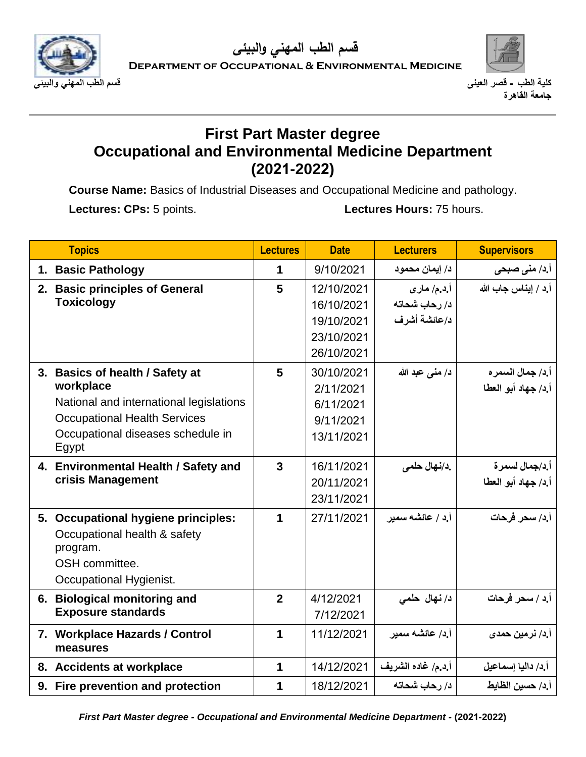



**كلية الطب - قصر العينى قسم الطب المهني والبيئى جامعة القاهرة** 

## **First Part Master degree Occupational and Environmental Medicine Department (2021-2022)**

**Course Name:** Basics of Industrial Diseases and Occupational Medicine and pathology. Lectures: CPs: 5 points. **Lectures Hours: 75 hours.** 

| <b>Topics</b>                              | <b>Lectures</b> | <b>Date</b> | <b>Lecturers</b>   | <b>Supervisors</b>      |
|--------------------------------------------|-----------------|-------------|--------------------|-------------------------|
| 1. Basic Pathology                         | 1               | 9/10/2021   | د/ إيمان محمود     | <b>آ.د/ منی صبحی</b>    |
| 2. Basic principles of General             | 5               | 12/10/2021  | أ.د.م/ ماري        | أ د / إيناس جاب الله    |
| <b>Toxicology</b>                          |                 | 16/10/2021  | د/ رحاب شحاته      |                         |
|                                            |                 | 19/10/2021  | د/عائشة أشرف       |                         |
|                                            |                 | 23/10/2021  |                    |                         |
|                                            |                 | 26/10/2021  |                    |                         |
| 3. Basics of health / Safety at            | 5               | 30/10/2021  | د/ منى عبد الله    | أ.د/ جمال السمر ه       |
| workplace                                  |                 | 2/11/2021   |                    | أ.د/ جهاد أبو العطا     |
| National and international legislations    |                 | 6/11/2021   |                    |                         |
| <b>Occupational Health Services</b>        |                 | 9/11/2021   |                    |                         |
| Occupational diseases schedule in<br>Egypt |                 | 13/11/2021  |                    |                         |
| 4. Environmental Health / Safety and       | $\mathbf{3}$    | 16/11/2021  | .د/نـهال حلمى      | أ د/جمال لسمر ة         |
| crisis Management                          |                 | 20/11/2021  |                    | أ.د/ جهاد أبو العطا     |
|                                            |                 | 23/11/2021  |                    |                         |
| 5. Occupational hygiene principles:        | 1               | 27/11/2021  | أ ٍد / عائشه سمير  | أ.د/ سحر فرحات          |
| Occupational health & safety<br>program.   |                 |             |                    |                         |
| OSH committee.                             |                 |             |                    |                         |
| Occupational Hygienist.                    |                 |             |                    |                         |
| 6. Biological monitoring and               | $\overline{2}$  | 4/12/2021   | د/ نهال حلمي       | أ.د / سحر فرحات         |
| <b>Exposure standards</b>                  |                 | 7/12/2021   |                    |                         |
| 7. Workplace Hazards / Control<br>measures | 1               | 11/12/2021  | أ د/ عائشه سمير    | أ.د/ نرمين حمد <i>ى</i> |
| 8. Accidents at workplace                  | 1               | 14/12/2021  | أ.د.م/ غاده الشريف | أ د/ داليا إسماعيل      |
| 9. Fire prevention and protection          | 1               | 18/12/2021  | د/ رحاب شحاته      | أ د/ حسين الظايط        |

*First Part Master degree - Occupational and Environmental Medicine Department -* **(2021-2022)**